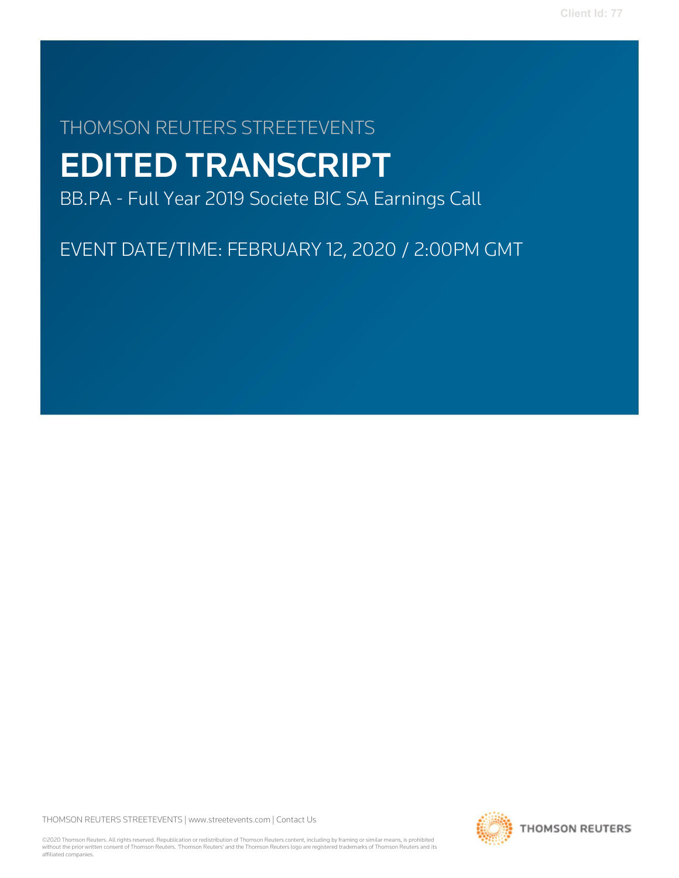## THOMSON REUTERS STREETEVENTS

# EDITED TRANSCRIPT

BB.PA - Full Year 2019 Societe BIC SA Earnings Call

EVENT DATE/TIME: FEBRUARY 12, 2020 / 2:00PM GMT

THOMSON REUTERS STREETEVENTS | www.streetevents.com | Contact Us

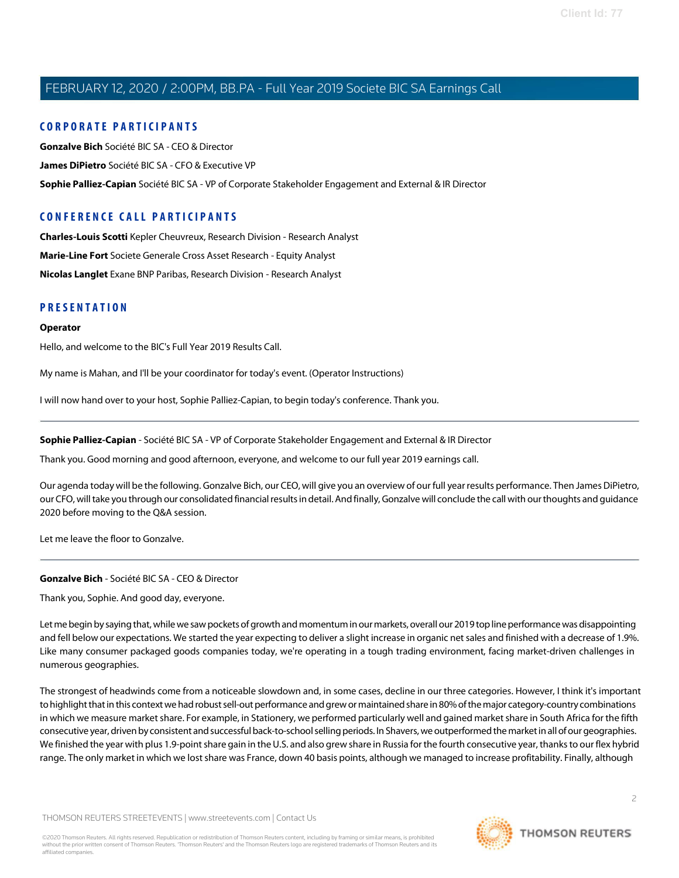#### C O R P O R A TE P A R TICI P A N TS

Gonzalve Bich Société BIC SA - CEO & Director James DiPietro Société BIC SA - CFO & Executive VP Sophie Palliez-Capian Société BIC SA - VP of Corporate Stakeholder Engagement and External & IR Director

## CONFERENCE CALL PARTICIPANTS

Charles-Louis Scotti Kepler Cheuvreux, Research Division - Research Analyst Marie-Line Fort Societe Generale Cross Asset Research - Equity Analyst Nicolas Langlet Exane BNP Paribas, Research Division - Research Analyst

#### **PRESENTATION**

#### **Operator**

Hello, and welcome to the BIC's Full Year 2019 Results Call.

My name is Mahan, and I'll be your coordinator for today's event. (Operator Instructions)

I will now hand over to your host, Sophie Palliez-Capian, to begin today's conference. Thank you.

Sophie Palliez-Capian - Société BIC SA - VP of Corporate Stakeholder Engagement and External & IR Director

Thank you. Good morning and good afternoon, everyone, and welcome to our full year 2019 earnings call.

Our agenda today will be the following. Gonzalve Bich, our CEO, will give you an overview of our full year results performance. Then James DiPietro, our CFO, will take you through our consolidated financial results in detail. And finally, Gonzalve will conclude the call with our thoughts and guidance 2020 before moving to the Q&A session.

Let me leave the floor to Gonzalve.

#### Gonzalve Bich - Société BIC SA - CEO & Director

Thank you, Sophie. And good day, everyone.

Let me begin by saying that, while we saw pockets of growth and momentum in our markets, overall our 2019 top line performance was disappointing and fell below our expectations. We started the year expecting to deliver a slight increase in organic netsales and finished with a decrease of 1.9%. Like many consumer packaged goods companies today, we're operating in a tough trading environment, facing market-driven challenges in numerous geographies.

The strongest of headwinds come from a noticeable slowdown and, in some cases, decline in our three categories. However, I think it's important to highlight that in this context we had robust sell-out performance and grew or maintained share in 80% of the major category-country combinations in which we measure market share. For example, in Stationery, we performed particularly well and gained market share in South Africa for the fifth consecutive year, driven by consistent and successful back-to-school selling periods. In Shavers, we outperformed the market in all of our geographies. We finished the year with plus 1.9-point share gain in the U.S. and also grew share in Russia for the fourth consecutive year, thanks to our flex hybrid range. The only market in which we lost share was France, down 40 basis points, although we managed to increase profitability. Finally, although

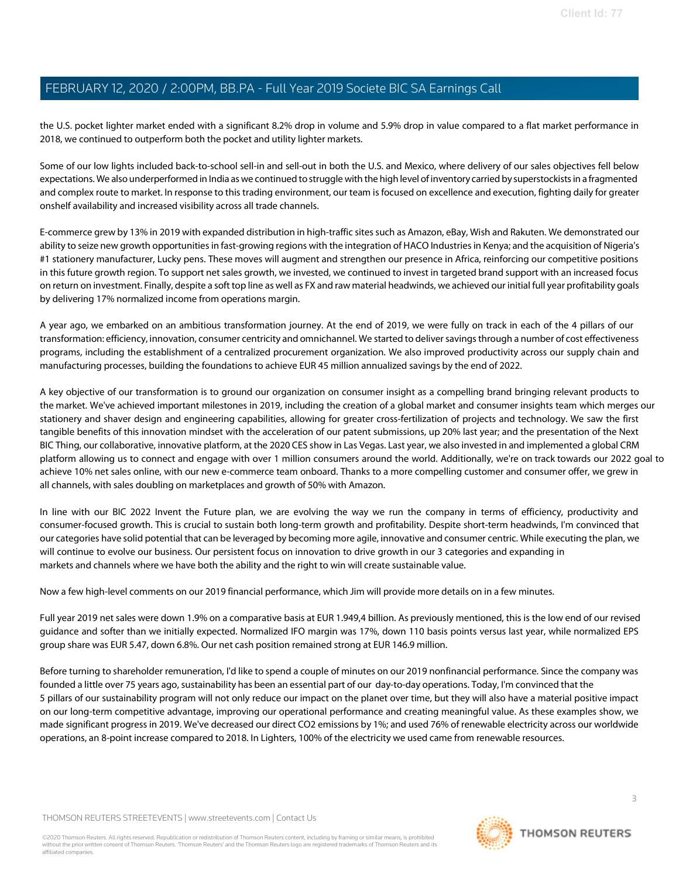the U.S. pocket lighter market ended with a significant 8.2% drop in volume and 5.9% drop in value compared to a flat market performance in 2018, we continued to outperform both the pocket and utility lighter markets.

Some of our low lights included back-to-school sell-in and sell-out in both the U.S. and Mexico, where delivery of our sales objectives fell below expectations. We also underperformed in India as we continued tostruggle with the high level of inventory carried by superstockistsin a fragmented and complex route to market. In response to this trading environment, our team is focused on excellence and execution, fighting daily for greater onshelf availability and increased visibility across all trade channels.

E-commerce grew by 13% in 2019 with expanded distribution in high-traffic sites such as Amazon, eBay, Wish and Rakuten. We demonstrated our ability to seize new growth opportunities in fast-growing regions with the integration of HACO Industries in Kenya; and the acquisition of Nigeria's #1 stationery manufacturer, Lucky pens. These moves will augment and strengthen our presence in Africa, reinforcing our competitive positions in this future growth region. To support net sales growth, we invested, we continued to invest in targeted brand support with an increased focus on return on investment. Finally, despite a soft top line as well as FX and raw material headwinds, we achieved our initial full year profitability goals by delivering 17% normalized income from operations margin.

A year ago, we embarked on an ambitious transformation journey. At the end of 2019, we were fully on track in each of the 4 pillars of our transformation: efficiency, innovation, consumer centricity and omnichannel. We started to deliversavingsthrough a number of cost effectiveness programs, including the establishment of a centralized procurement organization. We also improved productivity across our supply chain and manufacturing processes, building the foundations to achieve EUR 45 million annualized savings by the end of 2022.

A key objective of our transformation is to ground our organization on consumer insight as a compelling brand bringing relevant products to the market. We've achieved important milestones in 2019, including the creation of a global market and consumer insights team which merges our stationery and shaver design and engineering capabilities, allowing for greater cross-fertilization of projects and technology. We saw the first tangible benefits of this innovation mindset with the acceleration of our patent submissions, up 20% last year; and the presentation of the Next BIC Thing, our collaborative, innovative platform, at the 2020 CES show in Las Vegas. Last year, we also invested in and implemented a global CRM platform allowing us to connect and engage with over 1 million consumers around the world. Additionally, we're on track towards our 2022 goal to achieve 10% net sales online, with our new e-commerce team onboard. Thanks to a more compelling customer and consumer offer, we grew in all channels, with sales doubling on marketplaces and growth of 50% with Amazon.

In line with our BIC 2022 Invent the Future plan, we are evolving the way we run the company in terms of efficiency, productivity and consumer-focused growth. This is crucial to sustain both long-term growth and profitability. Despite short-term headwinds, I'm convinced that our categories have solid potential that can be leveraged by becoming more agile, innovative and consumer centric. While executing the plan, we will continue to evolve our business. Our persistent focus on innovation to drive growth in our 3 categories and expanding in markets and channels where we have both the ability and the right to win will create sustainable value.

Now a few high-level comments on our 2019 financial performance, which Jim will provide more details on in a few minutes.

Full year 2019 net sales were down 1.9% on a comparative basis at EUR 1.949,4 billion. As previously mentioned, this is the low end of our revised guidance and softer than we initially expected. Normalized IFO margin was 17%, down 110 basis points versus last year, while normalized EPS group share was EUR 5.47, down 6.8%. Our net cash position remained strong at EUR 146.9 million.

Before turning to shareholder remuneration, I'd like to spend a couple of minutes on our 2019 nonfinancial performance. Since the company was founded a little over 75 years ago, sustainability has been an essential part of our day-to-day operations. Today, I'm convinced that the 5 pillars of our sustainability program will not only reduce our impact on the planet over time, but they will also have a material positive impact on our long-term competitive advantage, improving our operational performance and creating meaningful value. As these examples show, we made significant progress in 2019. We've decreased our direct CO2 emissions by 1%; and used 76% of renewable electricity across our worldwide operations, an 8-point increase compared to 2018. In Lighters, 100% of the electricity we used came from renewable resources.

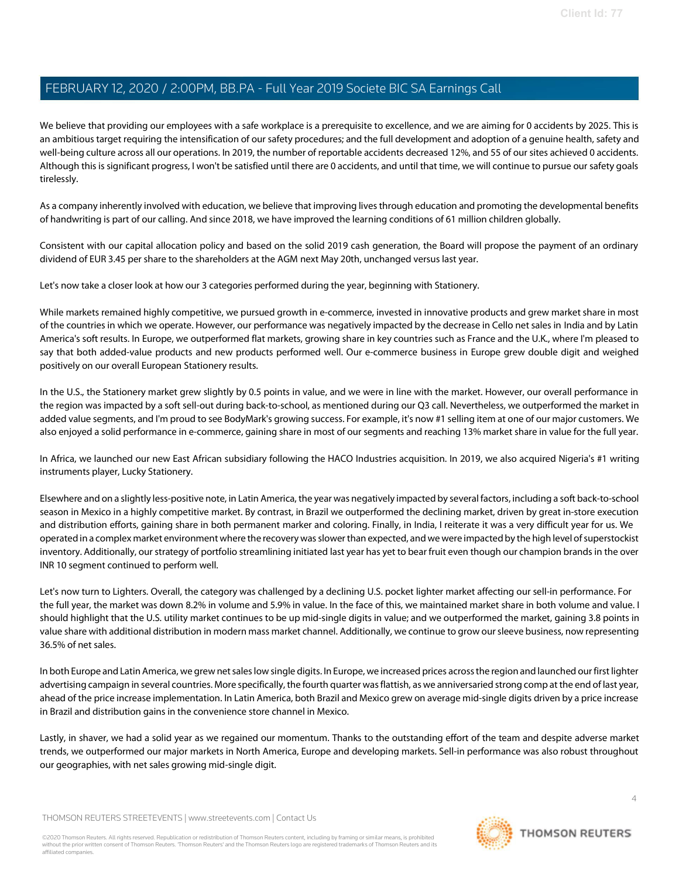We believe that providing our employees with a safe workplace is a prerequisite to excellence, and we are aiming for 0 accidents by 2025. This is an ambitious target requiring the intensification of our safety procedures; and the full development and adoption of a genuine health, safety and well-being culture across all our operations. In 2019, the number of reportable accidents decreased 12%, and 55 of our sites achieved 0 accidents. Although this is significant progress, I won't be satisfied until there are 0 accidents, and until that time, we will continue to pursue our safety goals tirelessly.

As a company inherently involved with education, we believe that improving livesthrough education and promoting the developmental benefits of handwriting is part of our calling. And since 2018, we have improved the learning conditions of 61 million children globally.

Consistent with our capital allocation policy and based on the solid 2019 cash generation, the Board will propose the payment of an ordinary dividend of EUR 3.45 per share to the shareholders at the AGM next May 20th, unchanged versus last year.

Let's now take a closer look at how our 3 categories performed during the year, beginning with Stationery.

While markets remained highly competitive, we pursued growth in e-commerce, invested in innovative products and grew market share in most of the countries in which we operate. However, our performance was negatively impacted by the decrease in Cello net sales in India and by Latin America's soft results. In Europe, we outperformed flat markets, growing share in key countries such as France and the U.K., where I'm pleased to say that both added-value products and new products performed well. Our e-commerce business in Europe grew double digit and weighed positively on our overall European Stationery results.

In the U.S., the Stationery market grew slightly by 0.5 points in value, and we were in line with the market. However, our overall performance in the region was impacted by a soft sell-out during back-to-school, as mentioned during our Q3 call. Nevertheless, we outperformed the market in added value segments, and I'm proud to see BodyMark's growing success. For example, it's now #1 selling item at one of our major customers. We also enjoyed a solid performance in e-commerce, gaining share in most of our segments and reaching 13% market share in value for the full year.

In Africa, we launched our new East African subsidiary following the HACO Industries acquisition. In 2019, we also acquired Nigeria's #1 writing instruments player, Lucky Stationery.

Elsewhere and on a slightly less-positive note, in Latin America, the year was negatively impacted by several factors, including a soft back-to-school season in Mexico in a highly competitive market. By contrast, in Brazil we outperformed the declining market, driven by great in-store execution and distribution efforts, gaining share in both permanent marker and coloring. Finally, in India, I reiterate it was a very difficult year for us. We operated in a complex market environment where the recovery wasslower than expected, and we were impacted by the high level ofsuperstockist inventory. Additionally, ourstrategy of portfolio streamlining initiated last year has yet to bear fruit even though our champion brands in the over INR 10 segment continued to perform well.

Let's now turn to Lighters. Overall, the category was challenged by a declining U.S. pocket lighter market affecting our sell-in performance. For the full year, the market was down 8.2% in volume and 5.9% in value. In the face of this, we maintained market share in both volume and value. I should highlight that the U.S. utility market continues to be up mid-single digits in value; and we outperformed the market, gaining 3.8 points in value share with additional distribution in modern mass market channel. Additionally, we continue to grow oursleeve business, now representing 36.5% of net sales.

In both Europe and Latin America, we grew net sales low single digits. In Europe, we increased prices across the region and launched our first lighter advertising campaign in several countries. More specifically, the fourth quarter wasflattish, as we anniversaried strong comp at the end of last year, ahead of the price increase implementation. In Latin America, both Brazil and Mexico grew on average mid-single digits driven by a price increase in Brazil and distribution gains in the convenience store channel in Mexico.

Lastly, in shaver, we had a solid year as we regained our momentum. Thanks to the outstanding effort of the team and despite adverse market trends, we outperformed our major markets in North America, Europe and developing markets. Sell-in performance was also robust throughout our geographies, with net sales growing mid-single digit.

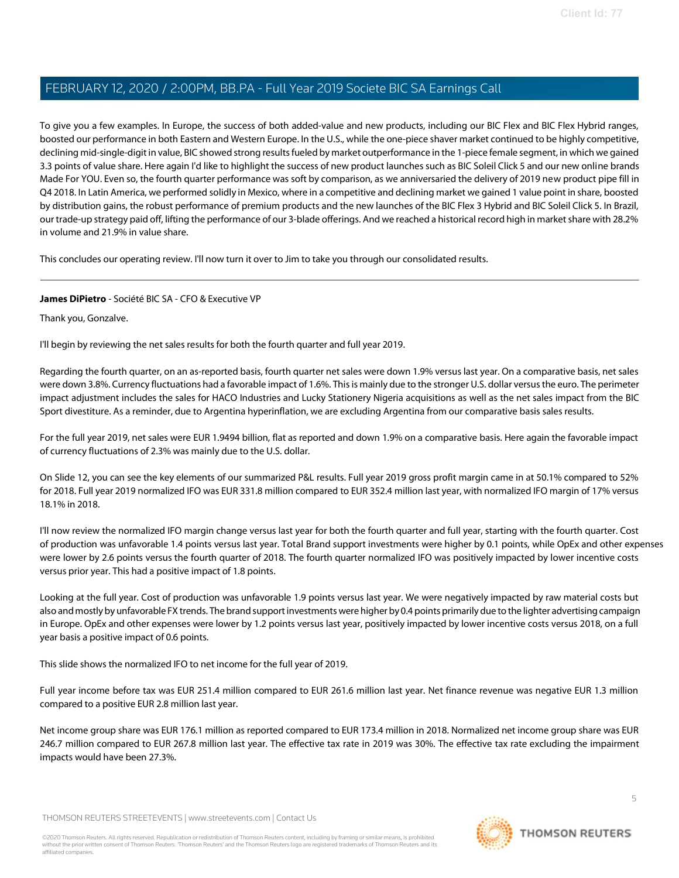To give you a few examples. In Europe, the success of both added-value and new products, including our BIC Flex and BIC Flex Hybrid ranges, boosted our performance in both Eastern and Western Europe. In the U.S., while the one-piece shaver market continued to be highly competitive, declining mid-single-digit in value, BIC showed strong results fueled by market outperformance in the 1-piece female segment, in which we gained 3.3 points of value share. Here again I'd like to highlight the success of new product launches such as BIC Soleil Click 5 and our new online brands Made For YOU. Even so, the fourth quarter performance was soft by comparison, as we anniversaried the delivery of 2019 new product pipe fill in Q4 2018. In Latin America, we performed solidly in Mexico, where in a competitive and declining market we gained 1 value point in share, boosted by distribution gains, the robust performance of premium products and the new launches of the BIC Flex 3 Hybrid and BIC Soleil Click 5. In Brazil, our trade-up strategy paid off, lifting the performance of our 3-blade offerings. And we reached a historical record high in market share with 28.2% in volume and 21.9% in value share.

This concludes our operating review. I'll now turn it over to Jim to take you through our consolidated results.

#### James DiPietro - Société BIC SA - CFO & Executive VP

Thank you, Gonzalve.

I'll begin by reviewing the net sales results for both the fourth quarter and full year 2019.

Regarding the fourth quarter, on an as-reported basis, fourth quarter net sales were down 1.9% versus last year. On a comparative basis, net sales were down 3.8%. Currency fluctuations had a favorable impact of 1.6%. This is mainly due to the stronger U.S. dollar versus the euro. The perimeter impact adjustment includes the sales for HACO Industries and Lucky Stationery Nigeria acquisitions as well as the net sales impact from the BIC Sport divestiture. As a reminder, due to Argentina hyperinflation, we are excluding Argentina from our comparative basis sales results.

For the full year 2019, net sales were EUR 1.9494 billion, flat as reported and down 1.9% on a comparative basis. Here again the favorable impact of currency fluctuations of 2.3% was mainly due to the U.S. dollar.

On Slide 12, you can see the key elements of our summarized P&L results. Full year 2019 gross profit margin came in at 50.1% compared to 52% for 2018. Full year 2019 normalized IFO was EUR 331.8 million compared to EUR 352.4 million last year, with normalized IFO margin of 17% versus 18.1% in 2018.

I'll now review the normalized IFO margin change versus last year for both the fourth quarter and full year, starting with the fourth quarter. Cost of production was unfavorable 1.4 points versus last year. Total Brand support investments were higher by 0.1 points, while OpEx and other expenses were lower by 2.6 points versus the fourth quarter of 2018. The fourth quarter normalized IFO was positively impacted by lower incentive costs versus prior year. This had a positive impact of 1.8 points.

Looking at the full year. Cost of production was unfavorable 1.9 points versus last year. We were negatively impacted by raw material costs but also and mostly by unfavorable FX trends. The brand support investments were higher by 0.4 points primarily due to the lighter advertising campaign in Europe. OpEx and other expenses were lower by 1.2 points versus last year, positively impacted by lower incentive costs versus 2018, on a full year basis a positive impact of 0.6 points.

This slide shows the normalized IFO to net income for the full year of 2019.

Full year income before tax was EUR 251.4 million compared to EUR 261.6 million last year. Net finance revenue was negative EUR 1.3 million compared to a positive EUR 2.8 million last year.

Net income group share was EUR 176.1 million as reported compared to EUR 173.4 million in 2018. Normalized net income group share was EUR 246.7 million compared to EUR 267.8 million last year. The effective tax rate in 2019 was 30%. The effective tax rate excluding the impairment impacts would have been 27.3%.

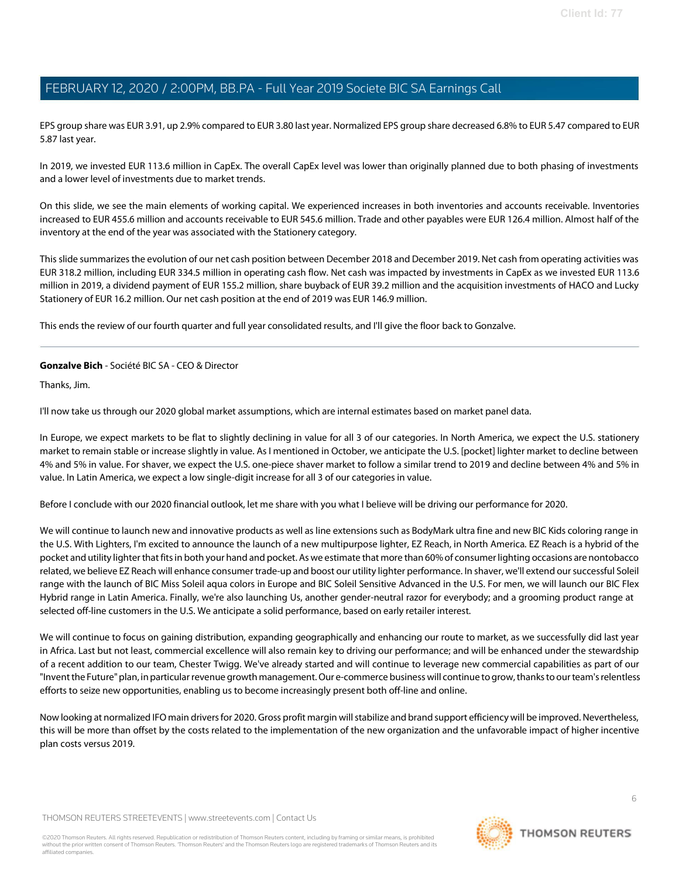EPS group share was EUR 3.91, up 2.9% compared to EUR 3.80 last year. Normalized EPS group share decreased 6.8% to EUR 5.47 compared to EUR 5.87 last year.

In 2019, we invested EUR 113.6 million in CapEx. The overall CapEx level was lower than originally planned due to both phasing of investments and a lower level of investments due to market trends.

On this slide, we see the main elements of working capital. We experienced increases in both inventories and accounts receivable. Inventories increased to EUR 455.6 million and accounts receivable to EUR 545.6 million. Trade and other payables were EUR 126.4 million. Almost half of the inventory at the end of the year was associated with the Stationery category.

Thisslide summarizesthe evolution of our net cash position between December 2018 and December 2019. Net cash from operating activities was EUR 318.2 million, including EUR 334.5 million in operating cash flow. Net cash was impacted by investments in CapEx as we invested EUR 113.6 million in 2019, a dividend payment of EUR 155.2 million, share buyback of EUR 39.2 million and the acquisition investments of HACO and Lucky Stationery of EUR 16.2 million. Our net cash position at the end of 2019 was EUR 146.9 million.

This ends the review of our fourth quarter and full year consolidated results, and I'll give the floor back to Gonzalve.

#### Gonzalve Bich - Société BIC SA - CEO & Director

Thanks, Jim.

I'll now take us through our 2020 global market assumptions, which are internal estimates based on market panel data.

In Europe, we expect markets to be flat to slightly declining in value for all 3 of our categories. In North America, we expect the U.S. stationery market to remain stable or increase slightly in value. As I mentioned in October, we anticipate the U.S. [pocket] lighter market to decline between 4% and 5% in value. For shaver, we expect the U.S. one-piece shaver market to follow a similar trend to 2019 and decline between 4% and 5% in value. In Latin America, we expect a low single-digit increase for all 3 of our categories in value.

Before I conclude with our 2020 financial outlook, let me share with you what I believe will be driving our performance for 2020.

We will continue to launch new and innovative products as well as line extensions such as BodyMark ultra fine and new BIC Kids coloring range in the U.S. With Lighters, I'm excited to announce the launch of a new multipurpose lighter, EZ Reach, in North America. EZ Reach is a hybrid of the pocket and utility lighter thatfitsin both your hand and pocket. As we estimate that more than 60%of consumerlighting occasions are nontobacco related, we believe EZ Reach will enhance consumer trade-up and boost our utility lighter performance. In shaver, we'll extend oursuccessful Soleil range with the launch of BIC Miss Soleil aqua colors in Europe and BIC Soleil Sensitive Advanced in the U.S. For men, we will launch our BIC Flex Hybrid range in Latin America. Finally, we're also launching Us, another gender-neutral razor for everybody; and a grooming product range at selected off-line customers in the U.S. We anticipate a solid performance, based on early retailer interest.

We will continue to focus on gaining distribution, expanding geographically and enhancing our route to market, as we successfully did last year in Africa. Last but not least, commercial excellence will also remain key to driving our performance; and will be enhanced under the stewardship of a recent addition to our team, Chester Twigg. We've already started and will continue to leverage new commercial capabilities as part of our "Invent the Future" plan, in particular revenue growth management. Our e-commerce business will continue to grow, thanks to our team's relentless efforts to seize new opportunities, enabling us to become increasingly present both off-line and online.

Now looking at normalized IFO main drivers for 2020. Gross profit margin will stabilize and brand support efficiency will be improved. Nevertheless, this will be more than offset by the costs related to the implementation of the new organization and the unfavorable impact of higher incentive plan costs versus 2019.

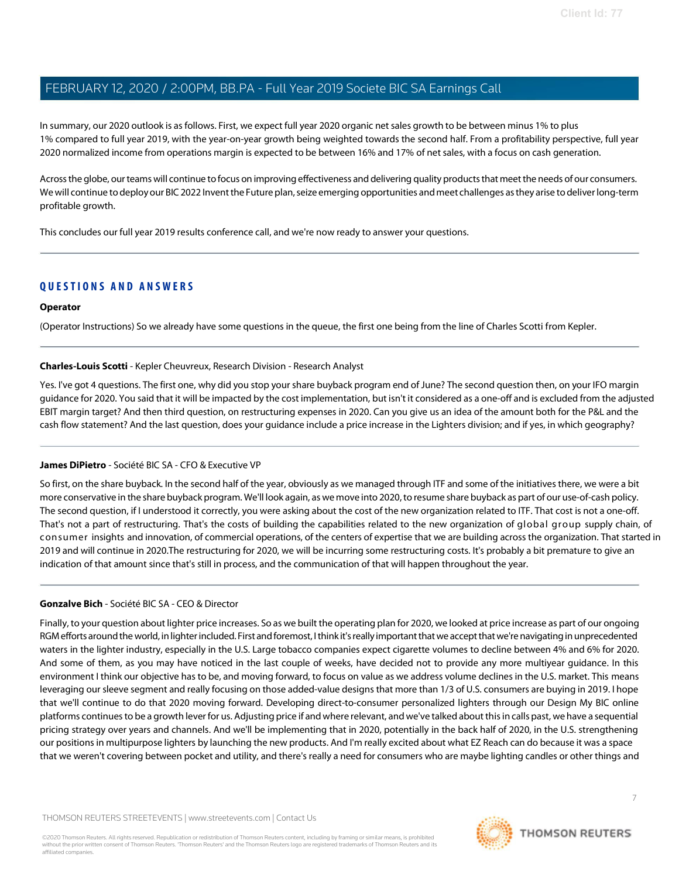In summary, our 2020 outlook is as follows. First, we expect full year 2020 organic netsales growth to be between minus 1% to plus 1% compared to full year 2019, with the year-on-year growth being weighted towards the second half. From a profitability perspective, full year 2020 normalized income from operations margin is expected to be between 16% and 17% of net sales, with a focus on cash generation.

Across the globe, our teams will continue to focus on improving effectiveness and delivering quality products that meet the needs of our consumers. We will continue to deploy our BIC 2022 Invent the Future plan, seize emerging opportunities and meet challenges as they arise to deliver long-term profitable growth.

This concludes our full year 2019 results conference call, and we're now ready to answer your questions.

#### **QUESTIONS AND ANSWERS**

#### **Operator**

(Operator Instructions) So we already have some questions in the queue, the first one being from the line of Charles Scotti from Kepler.

#### Charles-Louis Scotti - Kepler Cheuvreux, Research Division - Research Analyst

Yes. I've got 4 questions. The first one, why did you stop your share buyback program end of June? The second question then, on your IFO margin guidance for 2020. You said that it will be impacted by the cost implementation, but isn't it considered as a one-off and is excluded from the adjusted EBIT margin target? And then third question, on restructuring expenses in 2020. Can you give us an idea of the amount both for the P&L and the cash flow statement? And the last question, does your guidance include a price increase in the Lighters division; and if yes, in which geography?

#### James DiPietro - Société BIC SA - CFO & Executive VP

So first, on the share buyback. In the second half of the year, obviously as we managed through ITF and some of the initiatives there, we were a bit more conservative in the share buyback program. We'll look again, as we move into 2020,to resume share buyback as part of our use-of-cash policy. The second question, if I understood it correctly, you were asking about the cost of the new organization related to ITF. That cost is not a one-off. That's not a part of restructuring. That's the costs of building the capabilities related to the new organization of global group supply chain, of consumer insights and innovation, of commercial operations, of the centers of expertise that we are building across the organization. That started in 2019 and will continue in 2020.The restructuring for 2020, we will be incurring some restructuring costs. It's probably a bit premature to give an indication of that amount since that's still in process, and the communication of that will happen throughout the year.

#### Gonzalve Bich - Société BIC SA - CEO & Director

Finally, to your question about lighter price increases. So as we built the operating plan for 2020, we looked at price increase as part of our ongoing RGM efforts around the world, in lighter included. First and foremost, I think it's really important that we accept that we're navigating in unprecedented waters in the lighter industry, especially in the U.S. Large tobacco companies expect cigarette volumes to decline between 4% and 6% for 2020. And some of them, as you may have noticed in the last couple of weeks, have decided not to provide any more multiyear guidance. In this environment I think our objective has to be, and moving forward, to focus on value as we address volume declines in the U.S. market. This means leveraging our sleeve segment and really focusing on those added-value designs that more than 1/3 of U.S. consumers are buying in 2019. I hope that we'll continue to do that 2020 moving forward. Developing direct-to-consumer personalized lighters through our Design My BIC online platforms continuesto be a growth lever for us. Adjusting price if and where relevant, and we've talked aboutthisin calls past, we have a sequential pricing strategy over years and channels. And we'll be implementing that in 2020, potentially in the back half of 2020, in the U.S. strengthening our positions in multipurpose lighters by launching the new products. And I'm really excited about what EZ Reach can do because it was a space that we weren't covering between pocket and utility, and there's really a need for consumers who are maybe lighting candles or other things and

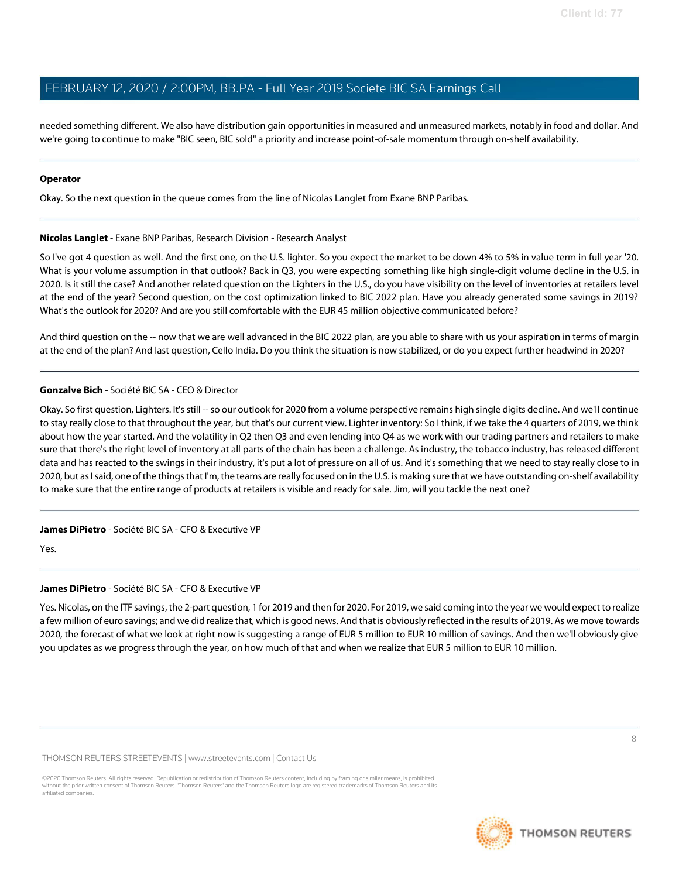needed something different. We also have distribution gain opportunities in measured and unmeasured markets, notably in food and dollar. And we're going to continue to make "BIC seen, BIC sold" a priority and increase point-of-sale momentum through on-shelf availability.

#### Operator

Okay. So the next question in the queue comes from the line of Nicolas Langlet from Exane BNP Paribas.

#### Nicolas Langlet - Exane BNP Paribas, Research Division - Research Analyst

So I've got 4 question as well. And the first one, on the U.S. lighter. So you expect the market to be down 4% to 5% in value term in full year '20. What is your volume assumption in that outlook? Back in Q3, you were expecting something like high single-digit volume decline in the U.S. in 2020. Is it still the case? And another related question on the Lighters in the U.S., do you have visibility on the level of inventories at retailers level at the end of the year? Second question, on the cost optimization linked to BIC 2022 plan. Have you already generated some savings in 2019? What's the outlook for 2020? And are you still comfortable with the EUR 45 million objective communicated before?

And third question on the -- now that we are well advanced in the BIC 2022 plan, are you able to share with us your aspiration in terms of margin at the end of the plan? And last question, Cello India. Do you think the situation is now stabilized, or do you expect further headwind in 2020?

#### Gonzalve Bich - Société BIC SA - CEO & Director

Okay. So first question, Lighters. It's still -- so our outlook for 2020 from a volume perspective remains high single digits decline. And we'll continue to stay really close to that throughout the year, but that's our current view. Lighter inventory: So I think, if we take the 4 quarters of 2019, we think about how the year started. And the volatility in Q2 then Q3 and even lending into Q4 as we work with our trading partners and retailers to make sure that there's the right level of inventory at all parts of the chain has been a challenge. As industry, the tobacco industry, has released different data and has reacted to the swings in their industry, it's put a lot of pressure on all of us. And it's something that we need to stay really close to in 2020, but as I said, one of the things that I'm, the teams are really focused on in the U.S. is making sure that we have outstanding on-shelf availability to make sure that the entire range of products at retailers is visible and ready for sale. Jim, will you tackle the next one?

#### James DiPietro - Société BIC SA - CFO & Executive VP

Yes.

#### James DiPietro - Société BIC SA - CFO & Executive VP

Yes. Nicolas, on the ITF savings, the 2-part question, 1 for 2019 and then for 2020. For 2019, we said coming into the year we would expect to realize a few million of euro savings; and we did realize that, which is good news. And that is obviously reflected in the results of 2019. As we move towards 2020, the forecast of what we look at right now is suggesting a range of EUR 5 million to EUR 10 million of savings. And then we'll obviously give you updates as we progress through the year, on how much of that and when we realize that EUR 5 million to EUR 10 million.

THOMSON REUTERS STREETEVENTS | www.streetevents.com | Contact Us

©2020 Thomson Reuters. All rights reserved. Republication or redistribution of Thomson Reuters content, including by framing or similar means, is prohibited without the prior written consent of Thomson Reuters. 'Thomson Reuters' and the Thomson Reuters logo are registered trademarks of Thomson Reuters and its affiliated companies.

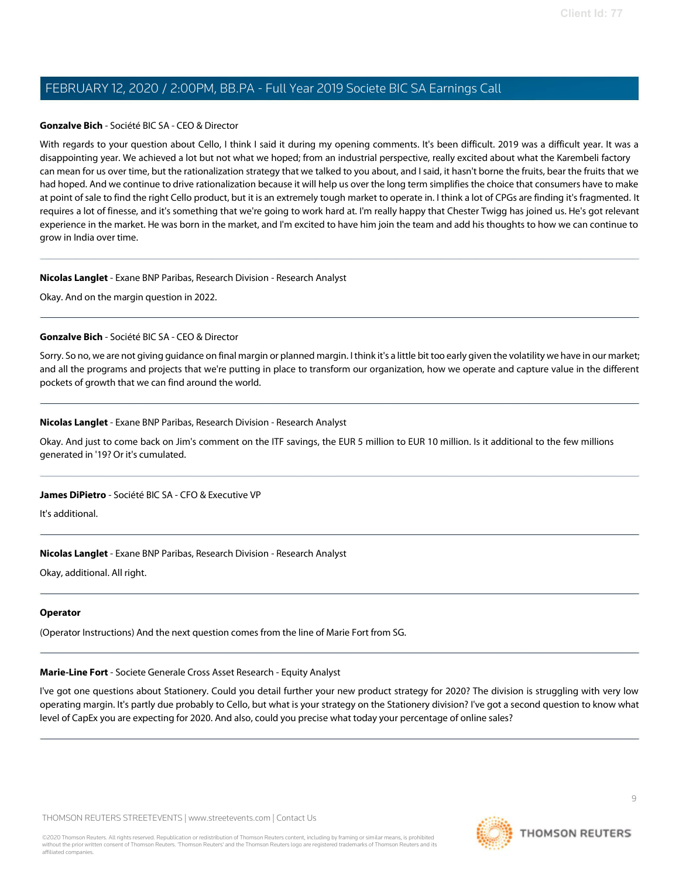#### Gonzalve Bich - Société BIC SA - CEO & Director

With regards to your question about Cello, I think I said it during my opening comments. It's been difficult. 2019 was a difficult year. It was a disappointing year. We achieved a lot but not what we hoped; from an industrial perspective, really excited about what the Karembeli factory can mean for us over time, but the rationalization strategy that we talked to you about, and I said, it hasn't borne the fruits, bear the fruits that we had hoped. And we continue to drive rationalization because it will help us over the long term simplifies the choice that consumers have to make at point of sale to find the right Cello product, but it is an extremely tough market to operate in. I think a lot of CPGs are finding it's fragmented. It requires a lot of finesse, and it's something that we're going to work hard at. I'm really happy that Chester Twigg has joined us. He's got relevant experience in the market. He was born in the market, and I'm excited to have him join the team and add his thoughts to how we can continue to grow in India over time.

#### Nicolas Langlet - Exane BNP Paribas, Research Division - Research Analyst

Okay. And on the margin question in 2022.

#### Gonzalve Bich - Société BIC SA - CEO & Director

Sorry. So no, we are not giving guidance on final margin or planned margin. Ithink it's a little bit too early given the volatility we have in our market; and all the programs and projects that we're putting in place to transform our organization, how we operate and capture value in the different pockets of growth that we can find around the world.

#### Nicolas Langlet - Exane BNP Paribas, Research Division - Research Analyst

Okay. And just to come back on Jim's comment on the ITF savings, the EUR 5 million to EUR 10 million. Is it additional to the few millions generated in '19? Or it's cumulated.

#### James DiPietro - Société BIC SA - CFO & Executive VP

It's additional.

#### Nicolas Langlet - Exane BNP Paribas, Research Division - Research Analyst

Okay, additional. All right.

#### **Operator**

(Operator Instructions) And the next question comes from the line of Marie Fort from SG.

#### Marie-Line Fort - Societe Generale Cross Asset Research - Equity Analyst

I've got one questions about Stationery. Could you detail further your new product strategy for 2020? The division is struggling with very low operating margin. It's partly due probably to Cello, but what is your strategy on the Stationery division? I've got a second question to know what level of CapEx you are expecting for 2020. And also, could you precise what today your percentage of online sales?

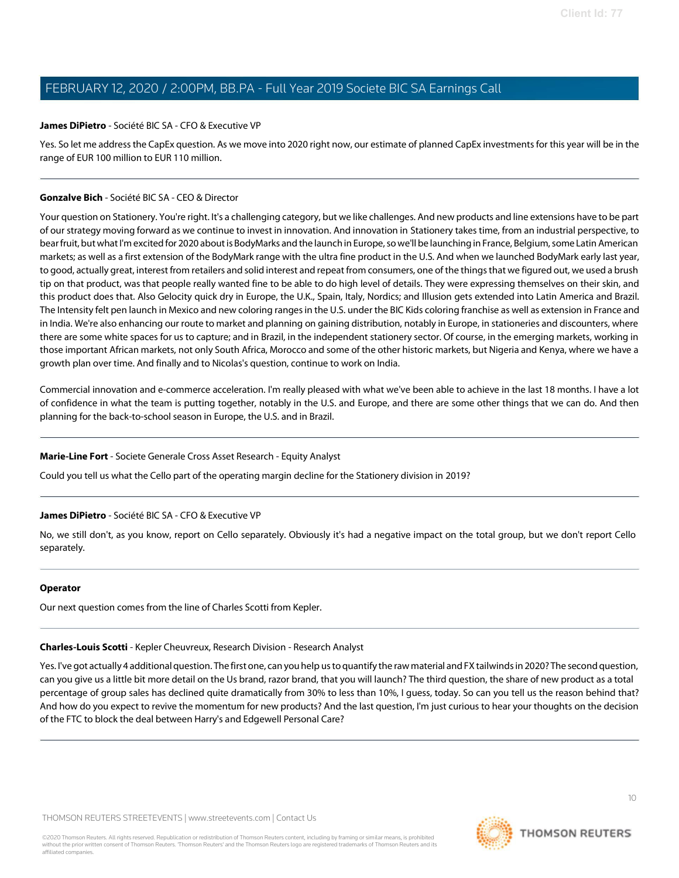#### James DiPietro - Société BIC SA - CFO & Executive VP

Yes. So let me address the CapEx question. As we move into 2020 right now, our estimate of planned CapEx investments for this year will be in the range of EUR 100 million to EUR 110 million.

#### Gonzalve Bich - Société BIC SA - CEO & Director

Your question on Stationery. You're right. It's a challenging category, but we like challenges. And new products and line extensions have to be part of our strategy moving forward as we continue to invest in innovation. And innovation in Stationery takes time, from an industrial perspective, to bear fruit, but what I'm excited for 2020 about is BodyMarks and the launch in Europe, so we'll be launching in France, Belgium, some Latin American markets; as well as a first extension of the BodyMark range with the ultra fine product in the U.S. And when we launched BodyMark early last year, to good, actually great, interest from retailers and solid interest and repeat from consumers, one of the things that we figured out, we used a brush tip on that product, was that people really wanted fine to be able to do high level of details. They were expressing themselves on their skin, and this product does that. Also Gelocity quick dry in Europe, the U.K., Spain, Italy, Nordics; and Illusion gets extended into Latin America and Brazil. The Intensity felt pen launch in Mexico and new coloring ranges in the U.S. under the BIC Kids coloring franchise as well as extension in France and in India. We're also enhancing our route to market and planning on gaining distribution, notably in Europe, in stationeries and discounters, where there are some white spaces for us to capture; and in Brazil, in the independent stationery sector. Of course, in the emerging markets, working in those important African markets, not only South Africa, Morocco and some of the other historic markets, but Nigeria and Kenya, where we have a growth plan over time. And finally and to Nicolas's question, continue to work on India.

Commercial innovation and e-commerce acceleration. I'm really pleased with what we've been able to achieve in the last 18 months. I have a lot of confidence in what the team is putting together, notably in the U.S. and Europe, and there are some other things that we can do. And then planning for the back-to-school season in Europe, the U.S. and in Brazil.

#### Marie-Line Fort - Societe Generale Cross Asset Research - Equity Analyst

Could you tell us what the Cello part of the operating margin decline for the Stationery division in 2019?

#### James DiPietro - Société BIC SA - CFO & Executive VP

No, we still don't, as you know, report on Cello separately. Obviously it's had a negative impact on the total group, but we don't report Cello separately.

#### **Operator**

Our next question comes from the line of Charles Scotti from Kepler.

## Charles-Louis Scotti - Kepler Cheuvreux, Research Division - Research Analyst

Yes. I've got actually 4 additionalquestion. The first one, can you help usto quantify the raw material and FX tailwindsin 2020? The second question, can you give us a little bit more detail on the Us brand, razor brand, that you will launch? The third question, the share of new product as a total percentage of group sales has declined quite dramatically from 30% to less than 10%, I guess, today. So can you tell us the reason behind that? And how do you expect to revive the momentum for new products? And the last question, I'm just curious to hear your thoughts on the decision of the FTC to block the deal between Harry's and Edgewell Personal Care?

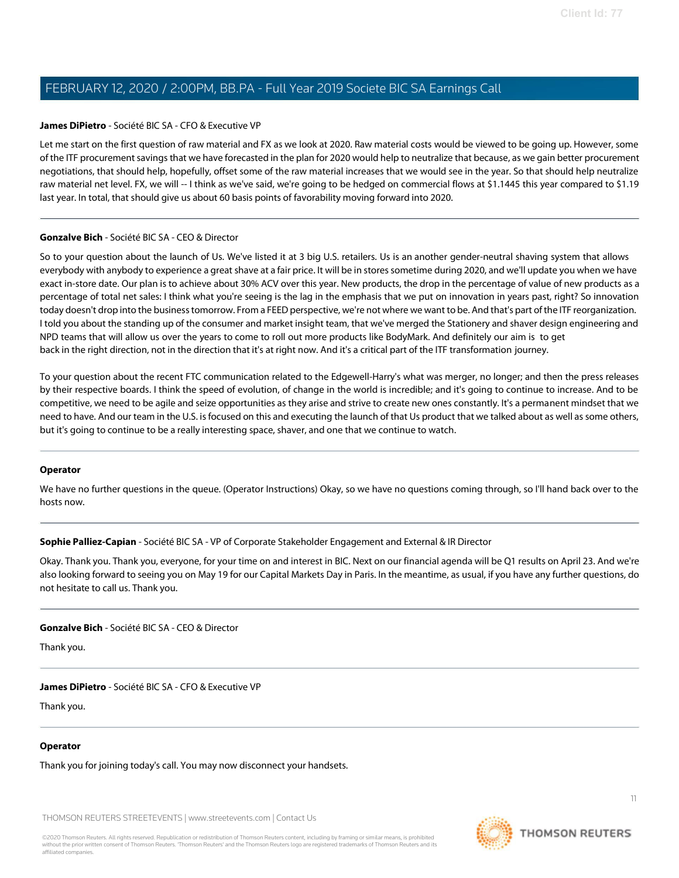#### James DiPietro - Société BIC SA - CFO & Executive VP

Let me start on the first question of raw material and FX as we look at 2020. Raw material costs would be viewed to be going up. However, some of the ITF procurement savings that we have forecasted in the plan for 2020 would help to neutralize that because, as we gain better procurement negotiations, that should help, hopefully, offset some of the raw material increases that we would see in the year. So that should help neutralize raw material net level. FX, we will -- I think as we've said, we're going to be hedged on commercial flows at \$1.1445 this year compared to \$1.19 last year. In total, that should give us about 60 basis points of favorability moving forward into 2020.

#### Gonzalve Bich - Société BIC SA - CEO & Director

So to your question about the launch of Us. We've listed it at 3 big U.S. retailers. Us is an another gender-neutral shaving system that allows everybody with anybody to experience a great shave at a fair price. It will be in stores sometime during 2020, and we'll update you when we have exact in-store date. Our plan is to achieve about 30% ACV over this year. New products, the drop in the percentage of value of new products as a percentage of total net sales: I think what you're seeing is the lag in the emphasis that we put on innovation in years past, right? So innovation today doesn't drop into the business tomorrow. From a FEED perspective, we're not where we want to be. And that's part of the ITF reorganization. I told you about the standing up of the consumer and market insight team, that we've merged the Stationery and shaver design engineering and NPD teams that will allow us over the years to come to roll out more products like BodyMark. And definitely our aim is to get back in the right direction, not in the direction that it's at right now. And it's a critical part of the ITF transformation journey.

To your question about the recent FTC communication related to the Edgewell-Harry's what was merger, no longer; and then the press releases by their respective boards. I think the speed of evolution, of change in the world is incredible; and it's going to continue to increase. And to be competitive, we need to be agile and seize opportunities as they arise and strive to create new ones constantly. It's a permanent mindset that we need to have. And our team in the U.S. isfocused on this and executing the launch of that Us product that we talked about as well as some others, but it's going to continue to be a really interesting space, shaver, and one that we continue to watch.

#### **Operator**

We have no further questions in the queue. (Operator Instructions) Okay, so we have no questions coming through, so I'll hand back over to the hosts now.

#### Sophie Palliez-Capian - Société BIC SA - VP of Corporate Stakeholder Engagement and External & IR Director

Okay. Thank you. Thank you, everyone, for your time on and interest in BIC. Next on our financial agenda will be Q1 results on April 23. And we're also looking forward to seeing you on May 19 for our Capital Markets Day in Paris. In the meantime, as usual, if you have any further questions, do not hesitate to call us. Thank you.

Gonzalve Bich - Société BIC SA - CEO & Director

Thank you.

James DiPietro - Société BIC SA - CFO & Executive VP

Thank you.

#### **Operator**

Thank you for joining today's call. You may now disconnect your handsets.

THOMSON REUTERS STREETEVENTS | www.streetevents.com | Contact Us



**THOMSON REUTERS**